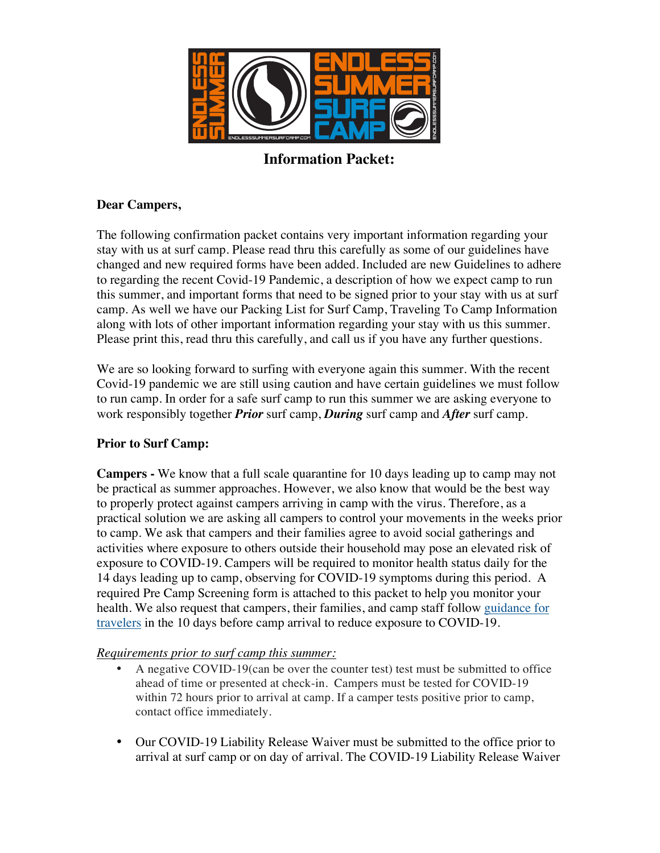

**Information Packet:**

### **Dear Campers,**

The following confirmation packet contains very important information regarding your stay with us at surf camp. Please read thru this carefully as some of our guidelines have changed and new required forms have been added. Included are new Guidelines to adhere to regarding the recent Covid-19 Pandemic, a description of how we expect camp to run this summer, and important forms that need to be signed prior to your stay with us at surf camp. As well we have our Packing List for Surf Camp, Traveling To Camp Information along with lots of other important information regarding your stay with us this summer. Please print this, read thru this carefully, and call us if you have any further questions.

We are so looking forward to surfing with everyone again this summer. With the recent Covid-19 pandemic we are still using caution and have certain guidelines we must follow to run camp. In order for a safe surf camp to run this summer we are asking everyone to work responsibly together *Prior* surf camp, *During* surf camp and *After* surf camp.

### **Prior to Surf Camp:**

**Campers -** We know that a full scale quarantine for 10 days leading up to camp may not be practical as summer approaches. However, we also know that would be the best way to properly protect against campers arriving in camp with the virus. Therefore, as a practical solution we are asking all campers to control your movements in the weeks prior to camp. We ask that campers and their families agree to avoid social gatherings and activities where exposure to others outside their household may pose an elevated risk of exposure to COVID-19. Campers will be required to monitor health status daily for the 14 days leading up to camp, observing for COVID-19 symptoms during this period. A required Pre Camp Screening form is attached to this packet to help you monitor your health. We also request that campers, their families, and camp staff follow guidance for travelers in the 10 days before camp arrival to reduce exposure to COVID-19.

### *Requirements prior to surf camp this summer:*

- A negative COVID-19(can be over the counter test) test must be submitted to office ahead of time or presented at check-in. Campers must be tested for COVID-19 within 72 hours prior to arrival at camp. If a camper tests positive prior to camp, contact office immediately.
- Our COVID-19 Liability Release Waiver must be submitted to the office prior to arrival at surf camp or on day of arrival. The COVID-19 Liability Release Waiver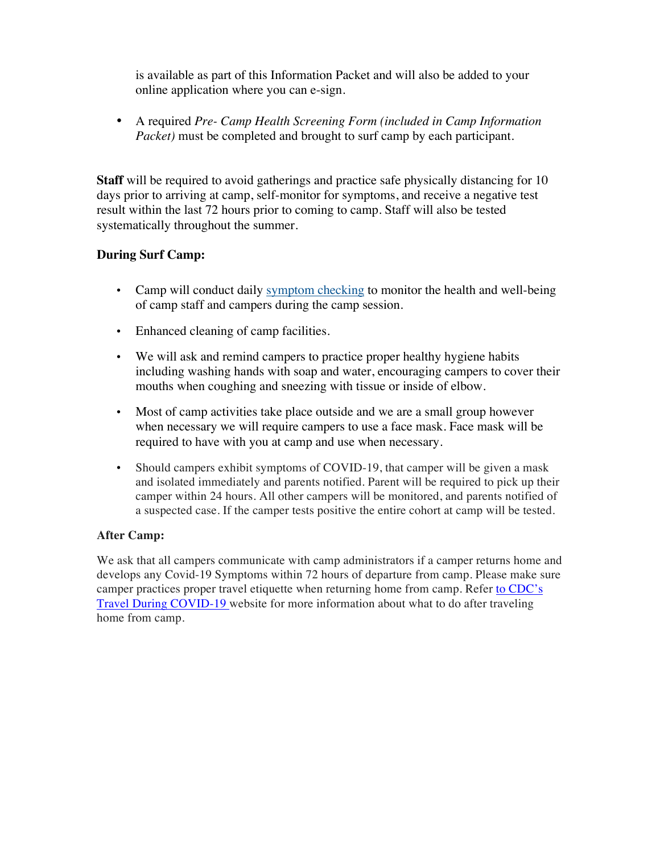is available as part of this Information Packet and will also be added to your online application where you can e-sign.

• A required *Pre- Camp Health Screening Form (included in Camp Information Packet*) must be completed and brought to surf camp by each participant.

**Staff** will be required to avoid gatherings and practice safe physically distancing for 10 days prior to arriving at camp, self-monitor for symptoms, and receive a negative test result within the last 72 hours prior to coming to camp. Staff will also be tested systematically throughout the summer.

### **During Surf Camp:**

- Camp will conduct daily symptom checking to monitor the health and well-being of camp staff and campers during the camp session.
- Enhanced cleaning of camp facilities.
- We will ask and remind campers to practice proper healthy hygiene habits including washing hands with soap and water, encouraging campers to cover their mouths when coughing and sneezing with tissue or inside of elbow.
- Most of camp activities take place outside and we are a small group however when necessary we will require campers to use a face mask. Face mask will be required to have with you at camp and use when necessary.
- Should campers exhibit symptoms of COVID-19, that camper will be given a mask and isolated immediately and parents notified. Parent will be required to pick up their camper within 24 hours. All other campers will be monitored, and parents notified of a suspected case. If the camper tests positive the entire cohort at camp will be tested.

### **After Camp:**

We ask that all campers communicate with camp administrators if a camper returns home and develops any Covid-19 Symptoms within 72 hours of departure from camp. Please make sure camper practices proper travel etiquette when returning home from camp. Refer to CDC's Travel During COVID-19 website for more information about what to do after traveling home from camp.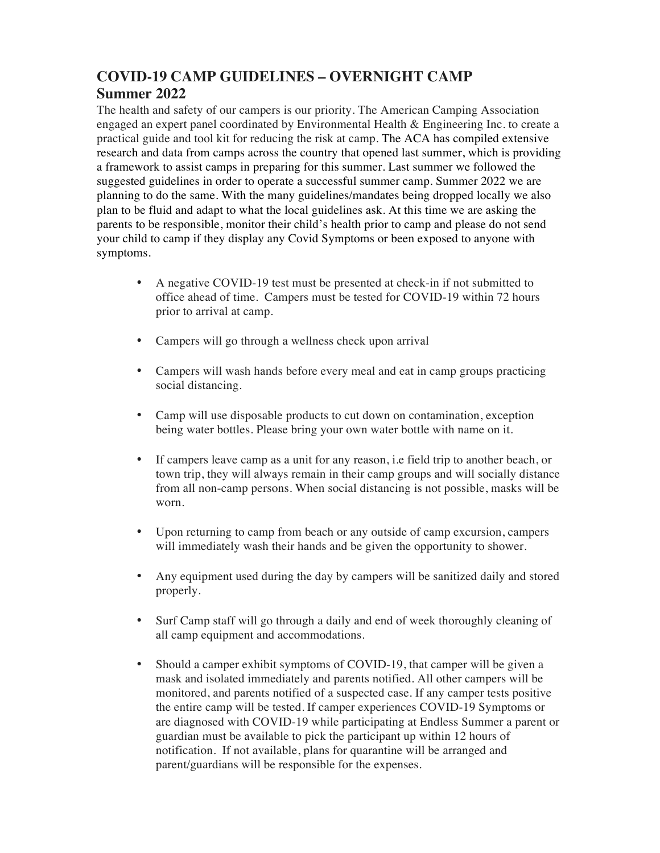# **COVID-19 CAMP GUIDELINES – OVERNIGHT CAMP Summer 2022**

The health and safety of our campers is our priority. The American Camping Association engaged an expert panel coordinated by Environmental Health & Engineering Inc. to create a practical guide and tool kit for reducing the risk at camp. The ACA has compiled extensive research and data from camps across the country that opened last summer, which is providing a framework to assist camps in preparing for this summer. Last summer we followed the suggested guidelines in order to operate a successful summer camp. Summer 2022 we are planning to do the same. With the many guidelines/mandates being dropped locally we also plan to be fluid and adapt to what the local guidelines ask. At this time we are asking the parents to be responsible, monitor their child's health prior to camp and please do not send your child to camp if they display any Covid Symptoms or been exposed to anyone with symptoms.

- A negative COVID-19 test must be presented at check-in if not submitted to office ahead of time. Campers must be tested for COVID-19 within 72 hours prior to arrival at camp.
- Campers will go through a wellness check upon arrival
- Campers will wash hands before every meal and eat in camp groups practicing social distancing.
- Camp will use disposable products to cut down on contamination, exception being water bottles. Please bring your own water bottle with name on it.
- If campers leave camp as a unit for any reason, i.e field trip to another beach, or town trip, they will always remain in their camp groups and will socially distance from all non-camp persons. When social distancing is not possible, masks will be worn.
- Upon returning to camp from beach or any outside of camp excursion, campers will immediately wash their hands and be given the opportunity to shower.
- Any equipment used during the day by campers will be sanitized daily and stored properly.
- Surf Camp staff will go through a daily and end of week thoroughly cleaning of all camp equipment and accommodations.
- Should a camper exhibit symptoms of COVID-19, that camper will be given a mask and isolated immediately and parents notified. All other campers will be monitored, and parents notified of a suspected case. If any camper tests positive the entire camp will be tested. If camper experiences COVID-19 Symptoms or are diagnosed with COVID-19 while participating at Endless Summer a parent or guardian must be available to pick the participant up within 12 hours of notification. If not available, plans for quarantine will be arranged and parent/guardians will be responsible for the expenses.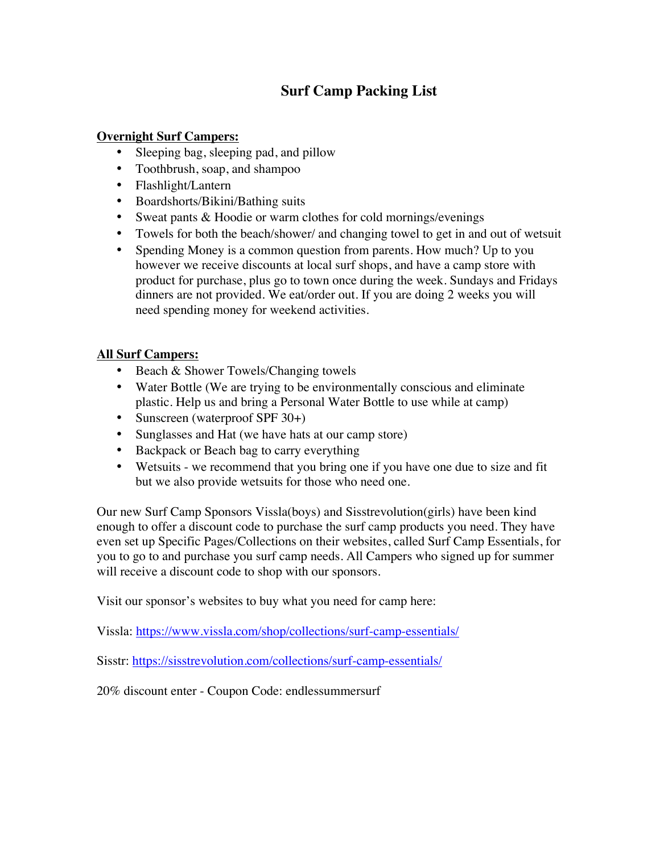# **Surf Camp Packing List**

### **Overnight Surf Campers:**

- Sleeping bag, sleeping pad, and pillow
- Toothbrush, soap, and shampoo
- Flashlight/Lantern
- Boardshorts/Bikini/Bathing suits
- Sweat pants & Hoodie or warm clothes for cold mornings/evenings
- Towels for both the beach/shower/ and changing towel to get in and out of wetsuit
- Spending Money is a common question from parents. How much? Up to you however we receive discounts at local surf shops, and have a camp store with product for purchase, plus go to town once during the week. Sundays and Fridays dinners are not provided. We eat/order out. If you are doing 2 weeks you will need spending money for weekend activities.

### **All Surf Campers:**

- Beach & Shower Towels/Changing towels
- Water Bottle (We are trying to be environmentally conscious and eliminate plastic. Help us and bring a Personal Water Bottle to use while at camp)
- Sunscreen (waterproof SPF 30+)
- Sunglasses and Hat (we have hats at our camp store)
- Backpack or Beach bag to carry everything
- Wetsuits we recommend that you bring one if you have one due to size and fit but we also provide wetsuits for those who need one.

Our new Surf Camp Sponsors Vissla(boys) and Sisstrevolution(girls) have been kind enough to offer a discount code to purchase the surf camp products you need. They have even set up Specific Pages/Collections on their websites, called Surf Camp Essentials, for you to go to and purchase you surf camp needs. All Campers who signed up for summer will receive a discount code to shop with our sponsors.

Visit our sponsor's websites to buy what you need for camp here:

Vissla: https://www.vissla.com/shop/collections/surf-camp-essentials/

Sisstr: https://sisstrevolution.com/collections/surf-camp-essentials/

20% discount enter - Coupon Code: endlessummersurf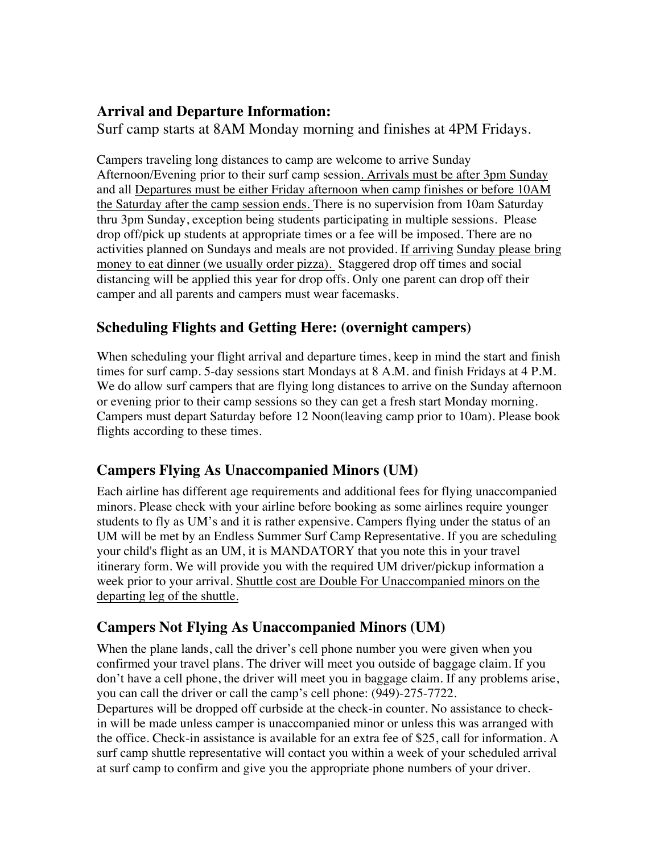## **Arrival and Departure Information:**

Surf camp starts at 8AM Monday morning and finishes at 4PM Fridays.

Campers traveling long distances to camp are welcome to arrive Sunday Afternoon/Evening prior to their surf camp session. Arrivals must be after 3pm Sunday and all Departures must be either Friday afternoon when camp finishes or before 10AM the Saturday after the camp session ends. There is no supervision from 10am Saturday thru 3pm Sunday, exception being students participating in multiple sessions. Please drop off/pick up students at appropriate times or a fee will be imposed. There are no activities planned on Sundays and meals are not provided. If arriving Sunday please bring money to eat dinner (we usually order pizza). Staggered drop off times and social distancing will be applied this year for drop offs. Only one parent can drop off their camper and all parents and campers must wear facemasks.

# **Scheduling Flights and Getting Here: (overnight campers)**

When scheduling your flight arrival and departure times, keep in mind the start and finish times for surf camp. 5-day sessions start Mondays at 8 A.M. and finish Fridays at 4 P.M. We do allow surf campers that are flying long distances to arrive on the Sunday afternoon or evening prior to their camp sessions so they can get a fresh start Monday morning. Campers must depart Saturday before 12 Noon(leaving camp prior to 10am). Please book flights according to these times.

# **Campers Flying As Unaccompanied Minors (UM)**

Each airline has different age requirements and additional fees for flying unaccompanied minors. Please check with your airline before booking as some airlines require younger students to fly as UM's and it is rather expensive. Campers flying under the status of an UM will be met by an Endless Summer Surf Camp Representative. If you are scheduling your child's flight as an UM, it is MANDATORY that you note this in your travel itinerary form. We will provide you with the required UM driver/pickup information a week prior to your arrival. Shuttle cost are Double For Unaccompanied minors on the departing leg of the shuttle.

# **Campers Not Flying As Unaccompanied Minors (UM)**

When the plane lands, call the driver's cell phone number you were given when you confirmed your travel plans. The driver will meet you outside of baggage claim. If you don't have a cell phone, the driver will meet you in baggage claim. If any problems arise, you can call the driver or call the camp's cell phone: (949)-275-7722.

Departures will be dropped off curbside at the check-in counter. No assistance to checkin will be made unless camper is unaccompanied minor or unless this was arranged with the office. Check-in assistance is available for an extra fee of \$25, call for information. A surf camp shuttle representative will contact you within a week of your scheduled arrival at surf camp to confirm and give you the appropriate phone numbers of your driver.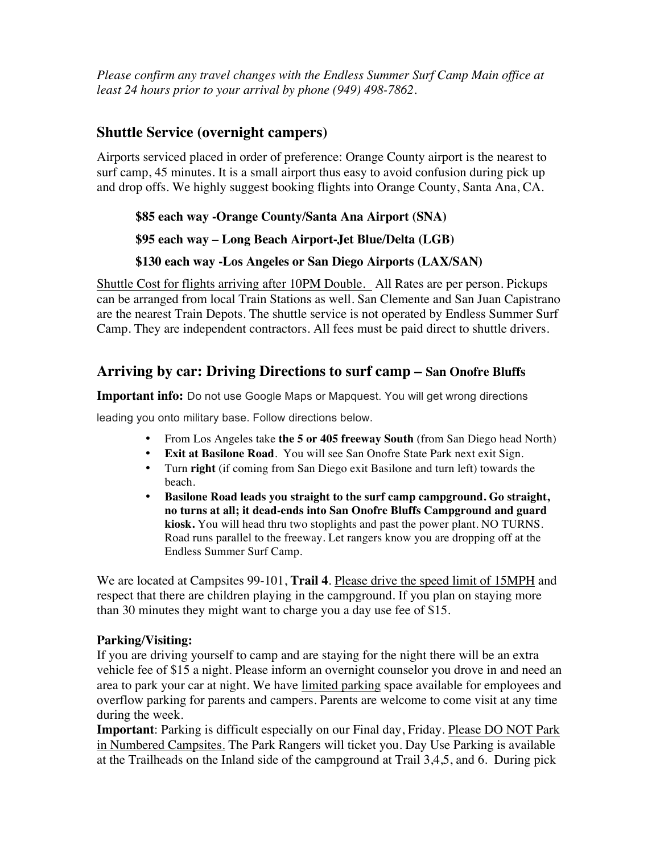*Please confirm any travel changes with the Endless Summer Surf Camp Main office at least 24 hours prior to your arrival by phone (949) 498-7862.*

## **Shuttle Service (overnight campers)**

Airports serviced placed in order of preference: Orange County airport is the nearest to surf camp, 45 minutes. It is a small airport thus easy to avoid confusion during pick up and drop offs. We highly suggest booking flights into Orange County, Santa Ana, CA.

### **\$85 each way -Orange County/Santa Ana Airport (SNA)**

### **\$95 each way – Long Beach Airport-Jet Blue/Delta (LGB)**

### **\$130 each way -Los Angeles or San Diego Airports (LAX/SAN)**

Shuttle Cost for flights arriving after 10PM Double. All Rates are per person. Pickups can be arranged from local Train Stations as well. San Clemente and San Juan Capistrano are the nearest Train Depots. The shuttle service is not operated by Endless Summer Surf Camp. They are independent contractors. All fees must be paid direct to shuttle drivers.

## **Arriving by car: Driving Directions to surf camp – San Onofre Bluffs**

**Important info:** Do not use Google Maps or Mapquest. You will get wrong directions

leading you onto military base. Follow directions below.

- From Los Angeles take **the 5 or 405 freeway South** (from San Diego head North)
- **Exit at Basilone Road.** You will see San Onofre State Park next exit Sign.
- Turn **right** (if coming from San Diego exit Basilone and turn left) towards the beach.
- **Basilone Road leads you straight to the surf camp campground. Go straight, no turns at all; it dead-ends into San Onofre Bluffs Campground and guard kiosk.** You will head thru two stoplights and past the power plant. NO TURNS. Road runs parallel to the freeway. Let rangers know you are dropping off at the Endless Summer Surf Camp.

We are located at Campsites 99-101, **Trail 4**. Please drive the speed limit of 15MPH and respect that there are children playing in the campground. If you plan on staying more than 30 minutes they might want to charge you a day use fee of \$15.

### **Parking/Visiting:**

If you are driving yourself to camp and are staying for the night there will be an extra vehicle fee of \$15 a night. Please inform an overnight counselor you drove in and need an area to park your car at night. We have limited parking space available for employees and overflow parking for parents and campers. Parents are welcome to come visit at any time during the week.

**Important**: Parking is difficult especially on our Final day, Friday. Please DO NOT Park in Numbered Campsites. The Park Rangers will ticket you. Day Use Parking is available at the Trailheads on the Inland side of the campground at Trail 3,4,5, and 6. During pick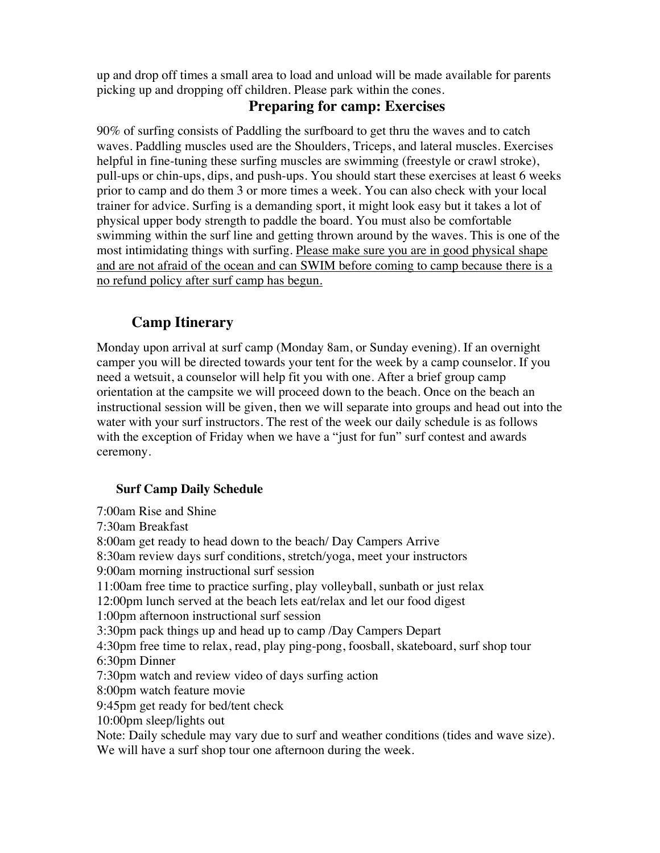up and drop off times a small area to load and unload will be made available for parents picking up and dropping off children. Please park within the cones.

## **Preparing for camp: Exercises**

90% of surfing consists of Paddling the surfboard to get thru the waves and to catch waves. Paddling muscles used are the Shoulders, Triceps, and lateral muscles. Exercises helpful in fine-tuning these surfing muscles are swimming (freestyle or crawl stroke), pull-ups or chin-ups, dips, and push-ups. You should start these exercises at least 6 weeks prior to camp and do them 3 or more times a week. You can also check with your local trainer for advice. Surfing is a demanding sport, it might look easy but it takes a lot of physical upper body strength to paddle the board. You must also be comfortable swimming within the surf line and getting thrown around by the waves. This is one of the most intimidating things with surfing. Please make sure you are in good physical shape and are not afraid of the ocean and can SWIM before coming to camp because there is a no refund policy after surf camp has begun.

# **Camp Itinerary**

Monday upon arrival at surf camp (Monday 8am, or Sunday evening). If an overnight camper you will be directed towards your tent for the week by a camp counselor. If you need a wetsuit, a counselor will help fit you with one. After a brief group camp orientation at the campsite we will proceed down to the beach. Once on the beach an instructional session will be given, then we will separate into groups and head out into the water with your surf instructors. The rest of the week our daily schedule is as follows with the exception of Friday when we have a "just for fun" surf contest and awards ceremony.

### **Surf Camp Daily Schedule**

7:00am Rise and Shine 7:30am Breakfast 8:00am get ready to head down to the beach/ Day Campers Arrive 8:30am review days surf conditions, stretch/yoga, meet your instructors 9:00am morning instructional surf session 11:00am free time to practice surfing, play volleyball, sunbath or just relax 12:00pm lunch served at the beach lets eat/relax and let our food digest 1:00pm afternoon instructional surf session 3:30pm pack things up and head up to camp /Day Campers Depart 4:30pm free time to relax, read, play ping-pong, foosball, skateboard, surf shop tour 6:30pm Dinner 7:30pm watch and review video of days surfing action 8:00pm watch feature movie 9:45pm get ready for bed/tent check 10:00pm sleep/lights out Note: Daily schedule may vary due to surf and weather conditions (tides and wave size). We will have a surf shop tour one afternoon during the week.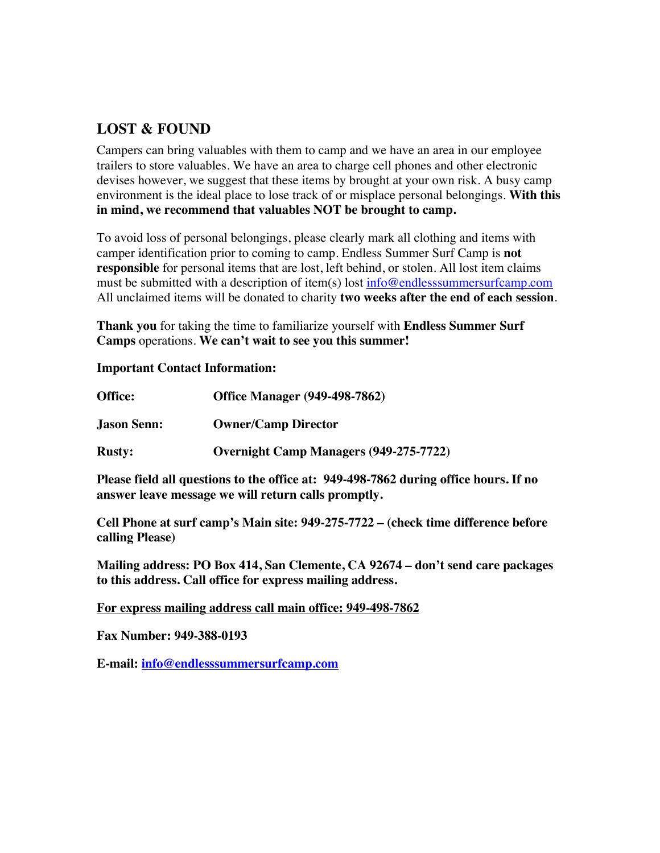## **LOST & FOUND**

Campers can bring valuables with them to camp and we have an area in our employee trailers to store valuables. We have an area to charge cell phones and other electronic devises however, we suggest that these items by brought at your own risk. A busy camp environment is the ideal place to lose track of or misplace personal belongings. **With this in mind, we recommend that valuables NOT be brought to camp.**

To avoid loss of personal belongings, please clearly mark all clothing and items with camper identification prior to coming to camp. Endless Summer Surf Camp is **not responsible** for personal items that are lost, left behind, or stolen. All lost item claims must be submitted with a description of item(s) lost info@endlesssummersurfcamp.com All unclaimed items will be donated to charity **two weeks after the end of each session**.

**Thank you** for taking the time to familiarize yourself with **Endless Summer Surf Camps** operations. **We can't wait to see you this summer!** 

#### **Important Contact Information:**

| Office:            | <b>Office Manager (949-498-7862)</b>          |  |  |  |
|--------------------|-----------------------------------------------|--|--|--|
| <b>Jason Senn:</b> | <b>Owner/Camp Director</b>                    |  |  |  |
| <b>Rusty:</b>      | <b>Overnight Camp Managers (949-275-7722)</b> |  |  |  |

**Please field all questions to the office at: 949-498-7862 during office hours. If no answer leave message we will return calls promptly.**

**Cell Phone at surf camp's Main site: 949-275-7722 – (check time difference before calling Please)**

**Mailing address: PO Box 414, San Clemente, CA 92674 – don't send care packages to this address. Call office for express mailing address.**

#### **For express mailing address call main office: 949-498-7862**

**Fax Number: 949-388-0193**

**E-mail: info@endlesssummersurfcamp.com**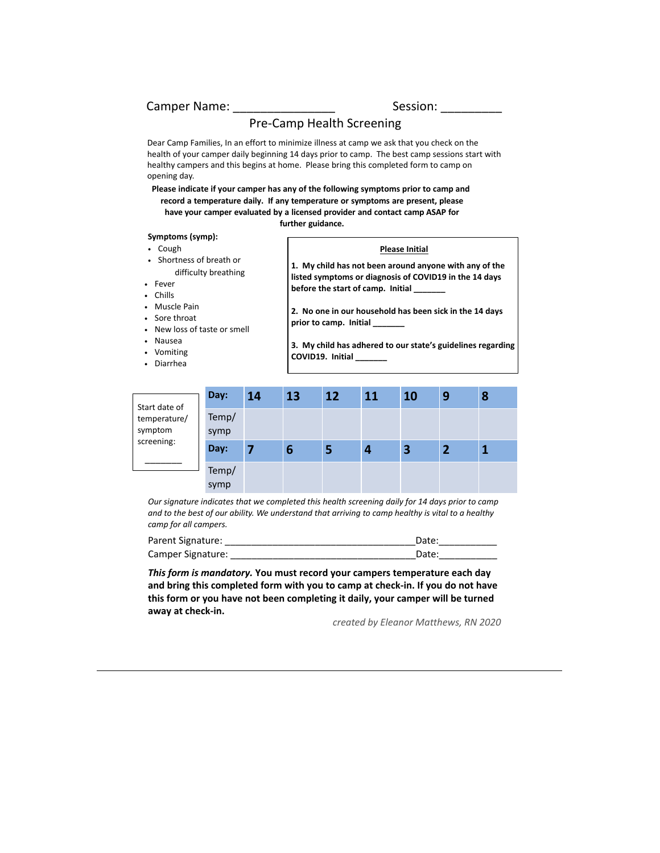#### Camper Name: etc. Entry Session:

#### Pre-Camp Health Screening

Dear Camp Families, In an effort to minimize illness at camp we ask that you check on the health of your camper daily beginning 14 days prior to camp. The best camp sessions start with healthy campers and this begins at home. Please bring this completed form to camp on opening day.

**Please indicate if your camper has any of the following symptoms prior to camp and record a temperature daily. If any temperature or symptoms are present, please have your camper evaluated by a licensed provider and contact camp ASAP for further guidance.** 

#### **Symptoms (symp):**

- Cough
- Shortness of breath or difficulty breathing
- Fever
- Chills
- Muscle Pain
- Sore throat
- New loss of taste or smell
- 
- Nausea
- Vomiting
- Diarrhea

#### **Please Initial**

**1. My child has not been around anyone with any of the listed symptoms or diagnosis of COVID19 in the 14 days before the start of camp. Initial \_\_\_\_\_\_\_**

**2. No one in our household has been sick in the 14 days prior to camp. Initial \_\_\_\_\_\_\_**

**3. My child has adhered to our state's guidelines regarding COVID19. Initial \_\_\_\_\_\_\_**

| Start date of           | Day:          | 14 | 13 | 12 | 11 | 10 | 9 | 8 |
|-------------------------|---------------|----|----|----|----|----|---|---|
| temperature/<br>symptom | Temp/<br>symp |    |    |    |    |    |   |   |
| screening:              | Day:          |    | 6  | э  | 4  | 3  |   |   |
|                         | Temp/<br>symp |    |    |    |    |    |   |   |

*Our signature indicates that we completed this health screening daily for 14 days prior to camp and to the best of our ability. We understand that arriving to camp healthy is vital to a healthy camp for all campers.* 

| Parent Signature: | Date  |
|-------------------|-------|
| Camper Signature: | Date: |

*This form is mandatory.* **You must record your campers temperature each day and bring this completed form with you to camp at check-in. If you do not have this form or you have not been completing it daily, your camper will be turned away at check-in.**

*created by Eleanor Matthews, RN 2020*